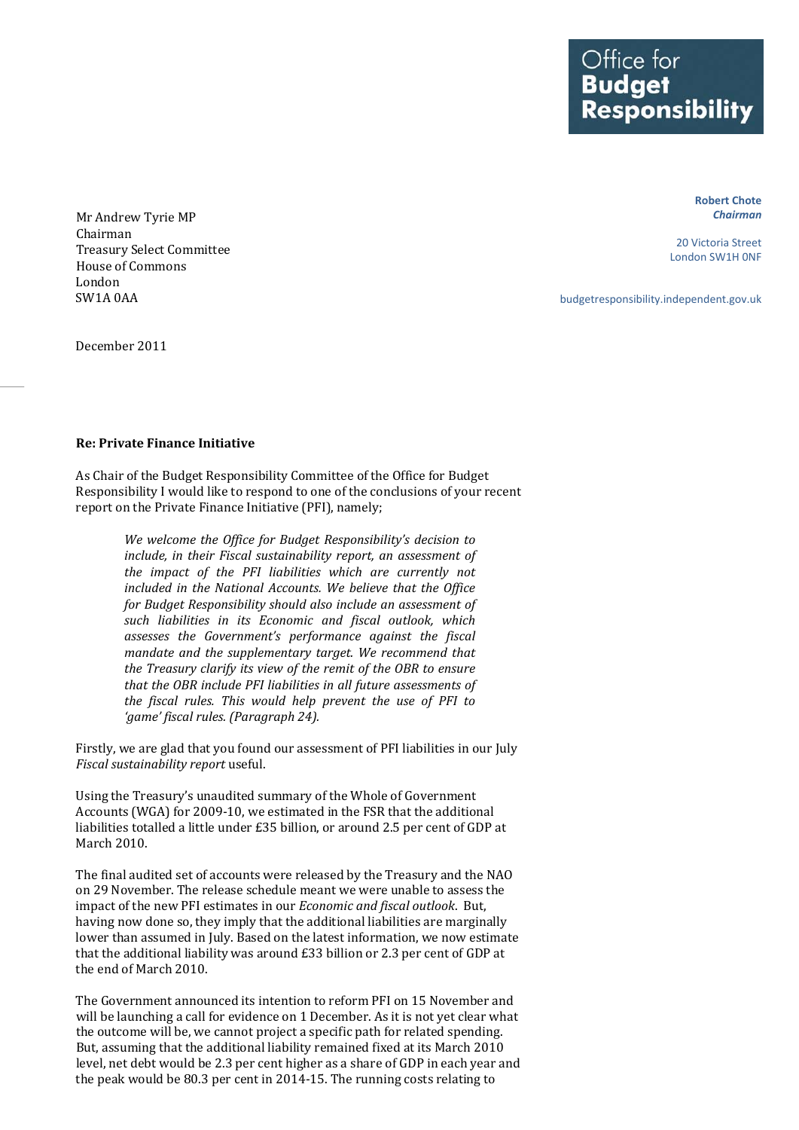Office for<br>**Budget** Responsibility

> **Robert Chote** *Chairman*

20 Victoria Street London SW1H 0NF

budgetresponsibility.independent.gov.uk

Mr Andrew Tyrie MP Treasury Select Committee Chairman House of Commons London SW1A 0AA

December 2011

## **Re: Private Finance Initiative**

As Chair of the Budget Responsibility Committee of the Office for Budget Responsibility I would like to respond to one of the conclusions of your recent report on the Private Finance Initiative (PFI), namely;

> *We welcome the Office for Budget Responsibility's decision to include, in their Fiscal sustainability report, an assessment of the impact of the PFI liabilities which are currently not included in the National Accounts. We believe that the Office for Budget Responsibility should also include an assessment of such liabilities in its Economic and fiscal outlook, which assesses the Government's performance against the fiscal mandate and the supplementary target. We recommend that the Treasury clarify its view of the remit of the OBR to ensure that the OBR include PFI liabilities in all future assessments of the fiscal rules. This would help prevent the use of PFI to 'game' fiscal rules. (Paragraph 24).*

Firstly, we are glad that you found our assessment of PFI liabilities in our July *Fiscal sustainability report* useful.

Using the Treasury's unaudited summary of the Whole of Government Accounts (WGA) for 2009-10, we estimated in the FSR that the additional liabilities totalled a little under £35 billion, or around 2.5 per cent of GDP at March 2010.

The final audited set of accounts were released by the Treasury and the NAO on 29 November. The release schedule meant we were unable to assess the impact of the new PFI estimates in our *Economic and fiscal outlook*. But, having now done so, they imply that the additional liabilities are marginally lower than assumed in July. Based on the latest information, we now estimate that the additional liability was around £33 billion or 2.3 per cent of GDP at the end of March 2010.

The Government announced its intention to reform PFI on 15 November and will be launching a call for evidence on 1 December. As it is not yet clear what the outcome will be, we cannot project a specific path for related spending. But, assuming that the additional liability remained fixed at its March 2010 level, net debt would be 2.3 per cent higher as a share of GDP in each year and the peak would be 80.3 per cent in 2014-15. The running costs relating to